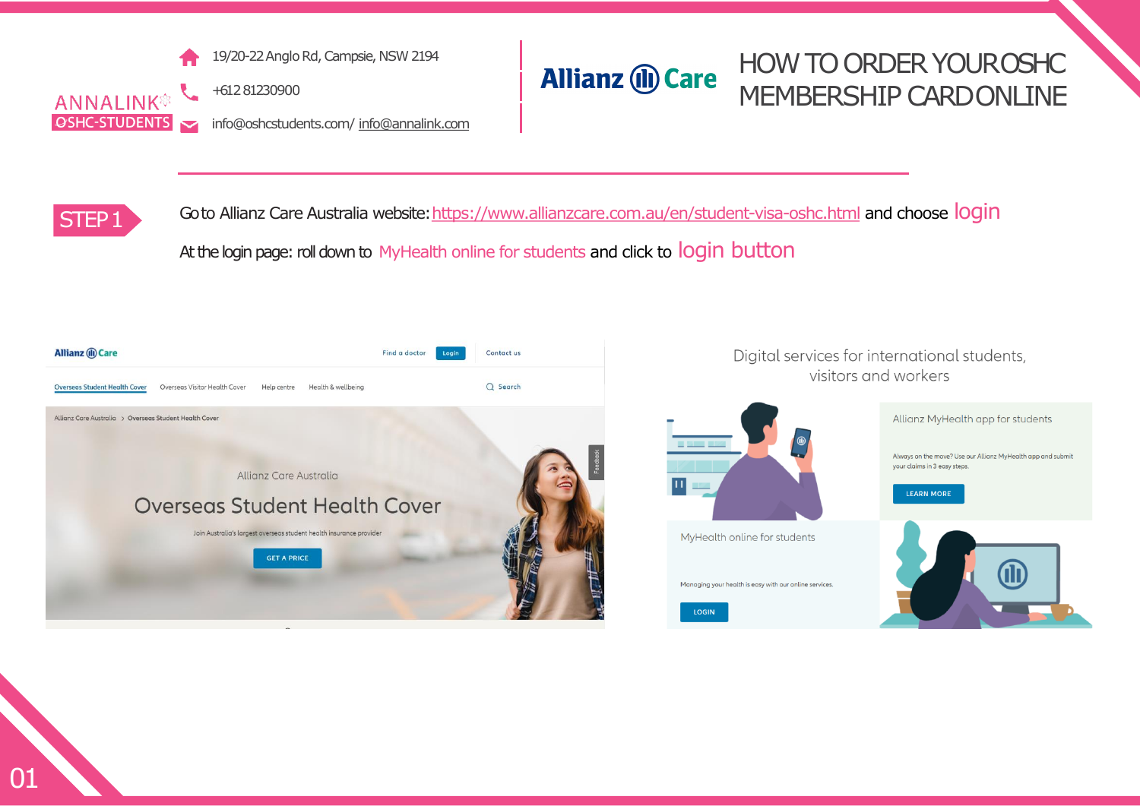

19/20-22 Anglo Rd, Campsie, NSW 2194

+612 81230900

info@oshcstudents.com/ [info@annalink.com](mailto:info@annalink.com)

#### HOW TO ORDER YOUROSHC **Allianz (II) Care** MEMBERSHIP CARDONLINE



Goto Allianz Care Australia website: <https://www.allianzcare.com.au/en/student-visa-oshc.html> and choose login At the login page: roll down to MyHealth online for students and click to login button



Digital services for international students, visitors and workers Allianz MyHealth app for students Always on the move? Use our Allianz MyHealth app and submit your claims in 3 easy steps. **LEARN MORE** MyHealth online for students Managing your health is easy with our online services.

**LOGIN**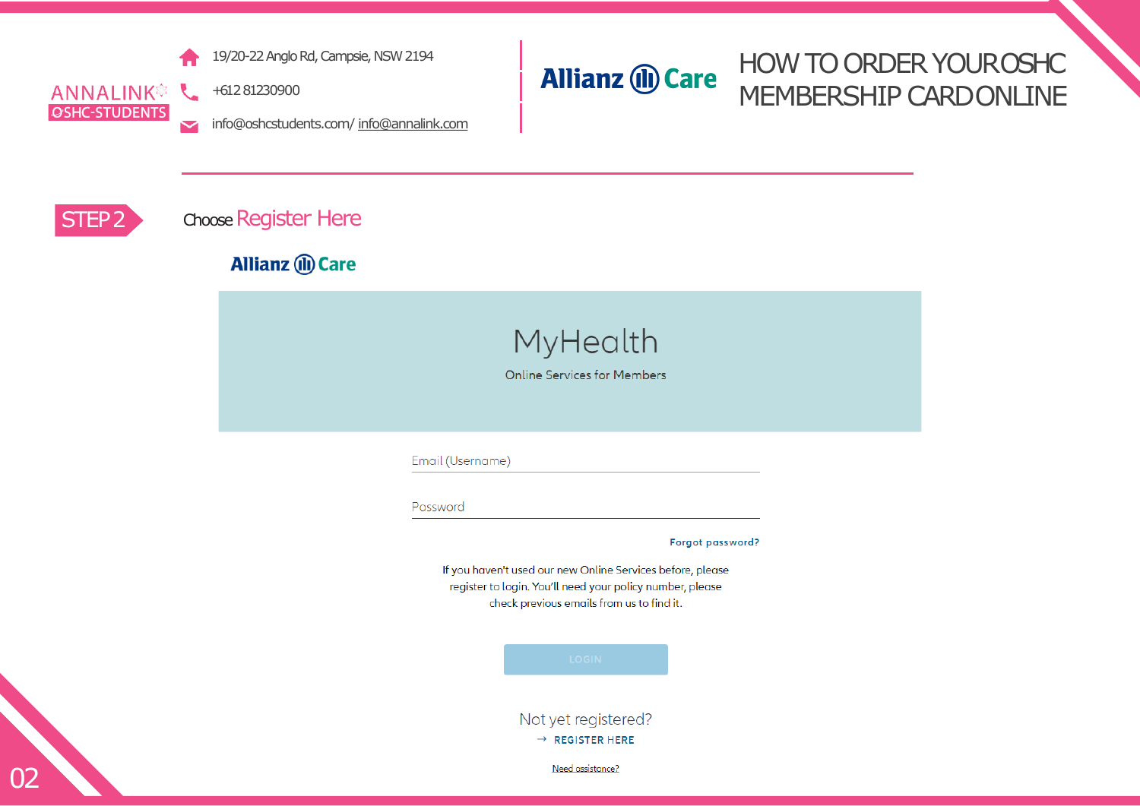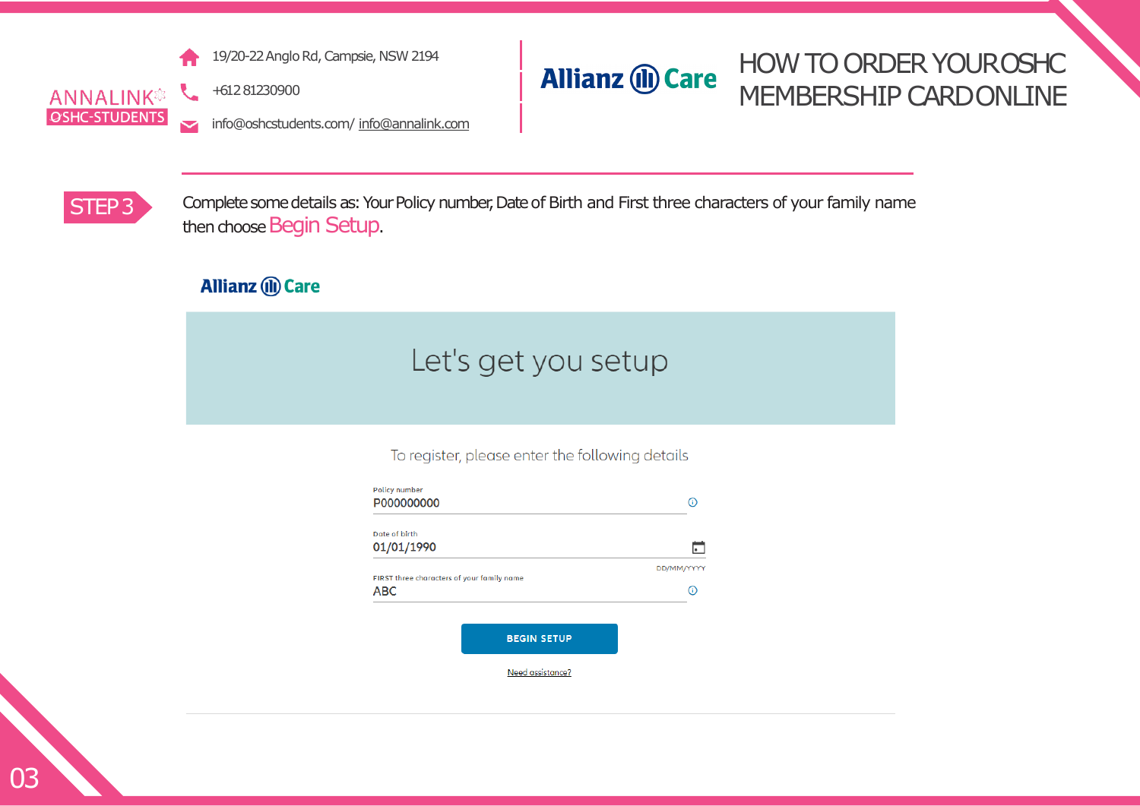

19/20-22 Anglo Rd, Campsie, NSW 2194



## HOW TO ORDER YOUROSHC MEMBERSHIP CARDONLINE

info@oshcstudents.com/ [info@annalink.com](mailto:info@annalink.com)



STEP3 Complete some details as: Your Policy number, Date of Birth and First three characters of your family name then choose Begin Setup.

### **Allianz (II) Care**

+61 2 81230900

# Let's get you setup

To register, please enter the following details

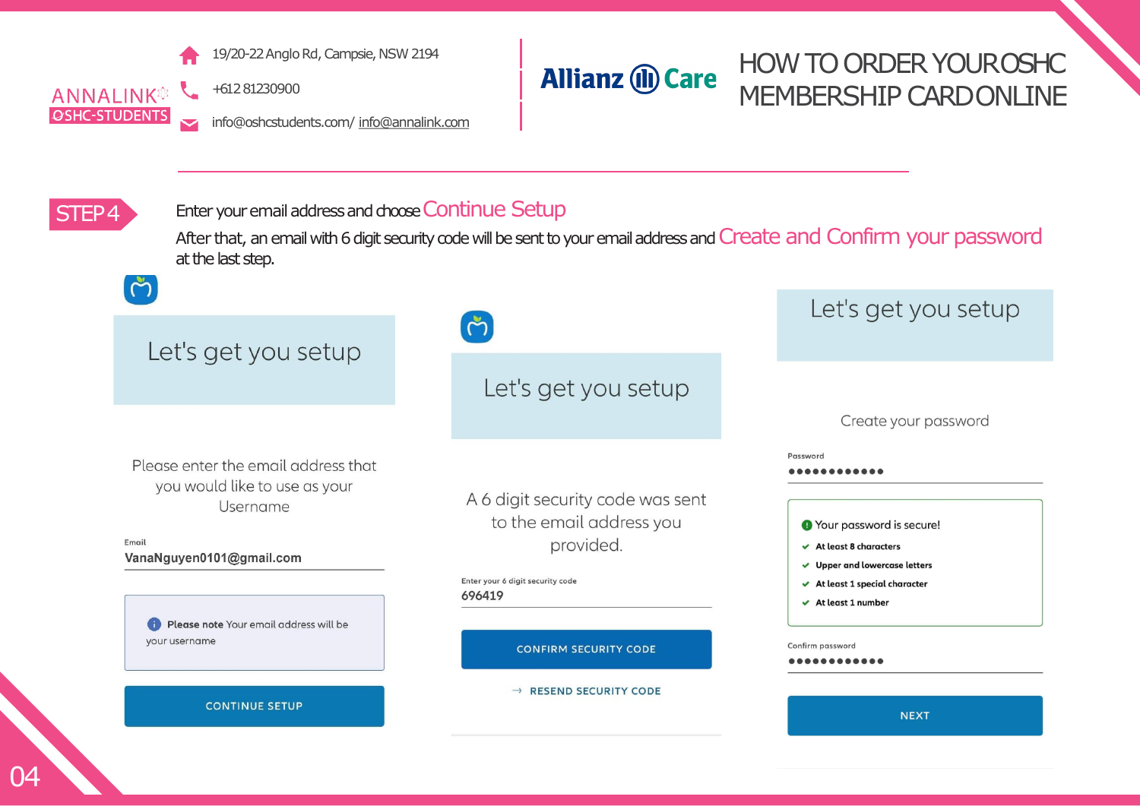

ANNALINK<sup>®</sup> +61 2 81230900 **OSHC-STUDENTS** 

HOW TO ORDER YOUROSHC **Allianz (II) Care** MEMBERSHIP CARDONLINE

info@oshcstudents.com/ [info@annalink.com](mailto:info@annalink.com)



#### STEP4 Enter your email address and choose Continue Setup

After that, an email with 6 digit security code will be sent to your email address and Create and Confirm your password at the last step.

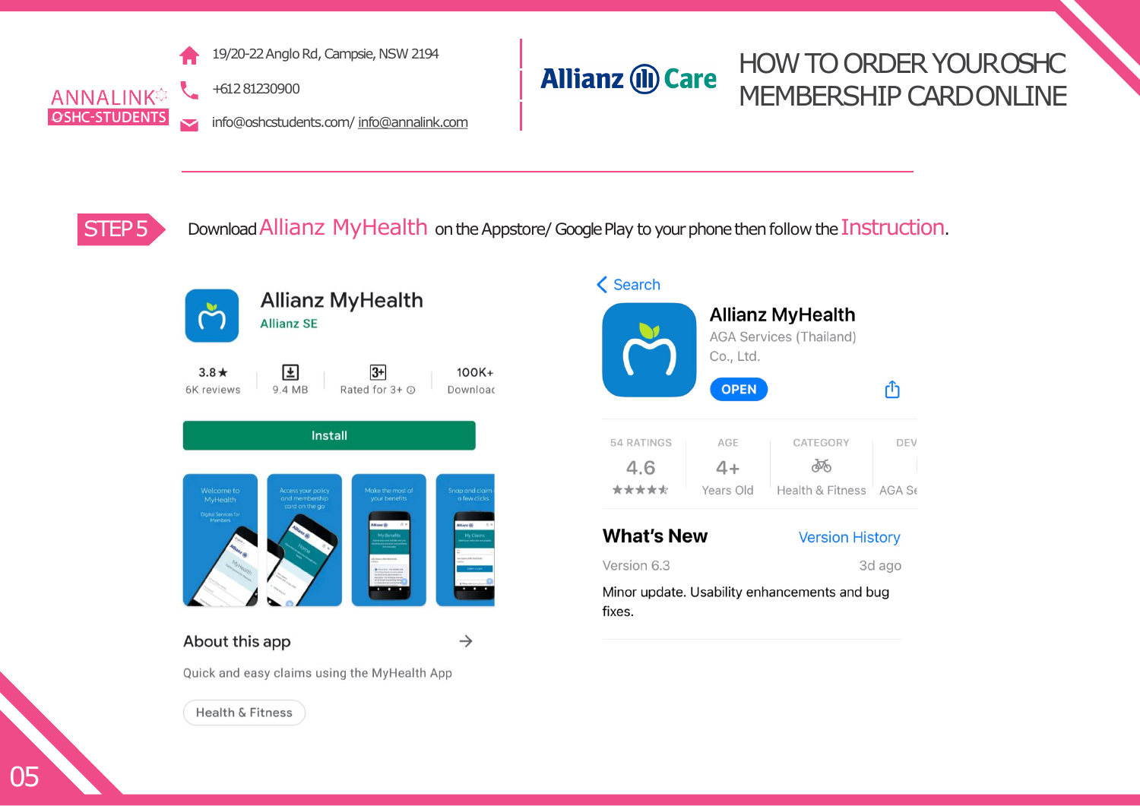![](_page_4_Picture_0.jpeg)

19/20-22 Anglo Rd, Campsie, NSW 2194

+61 2 81230900

info@oshcstudents.com/ [info@annalink.com](mailto:info@annalink.com)

#### HOW TO ORDER YOUROSHC **Allianz (II) Care** MEMBERSHIP CARDONLINE

STEP 5 Download Allianz MyHealth on the Appstore/ Google Play to your phone then follow the Instruction.

![](_page_4_Picture_6.jpeg)

![](_page_4_Picture_7.jpeg)

![](_page_4_Picture_8.jpeg)

![](_page_4_Picture_9.jpeg)

#### About this app

 $\rightarrow$ 

 $100K +$ 

Quick and easy claims using the MyHealth App

![](_page_4_Picture_13.jpeg)

**く Search** 

![](_page_4_Picture_15.jpeg)

**What's New** 

#### **Version History**

Version 6.3

3d ago

Minor update. Usability enhancements and bug fixes.